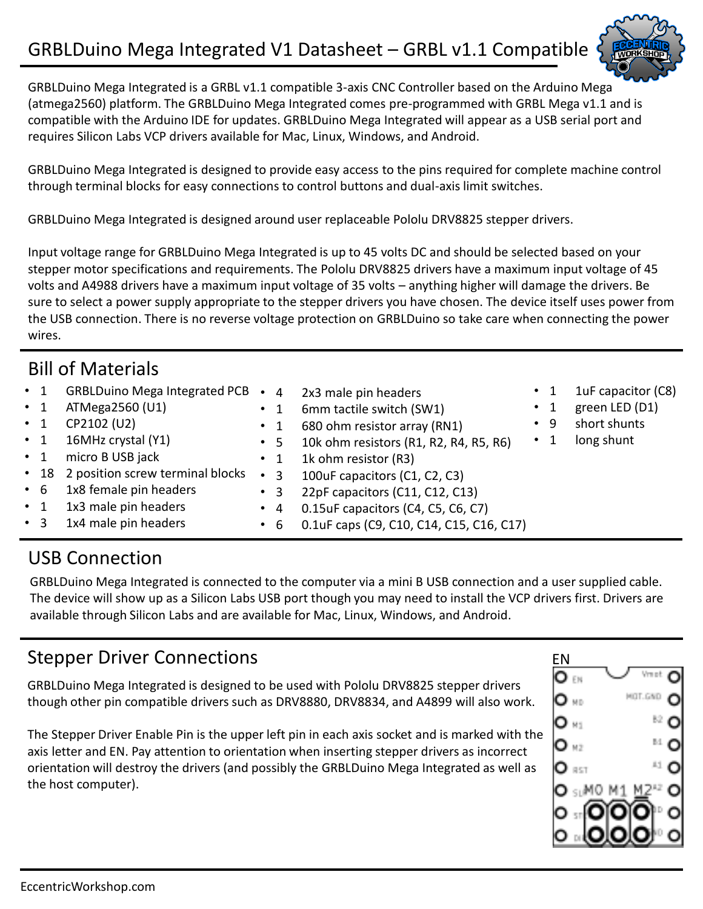

GRBLDuino Mega Integrated is a GRBL v1.1 compatible 3-axis CNC Controller based on the Arduino Mega (atmega2560) platform. The GRBLDuino Mega Integrated comes pre-programmed with GRBL Mega v1.1 and is compatible with the Arduino IDE for updates. GRBLDuino Mega Integrated will appear as a USB serial port and requires Silicon Labs VCP drivers available for Mac, Linux, Windows, and Android.

GRBLDuino Mega Integrated is designed to provide easy access to the pins required for complete machine control through terminal blocks for easy connections to control buttons and dual-axis limit switches.

GRBLDuino Mega Integrated is designed around user replaceable Pololu DRV8825 stepper drivers.

Input voltage range for GRBLDuino Mega Integrated is up to 45 volts DC and should be selected based on your stepper motor specifications and requirements. The Pololu DRV8825 drivers have a maximum input voltage of 45 volts and A4988 drivers have a maximum input voltage of 35 volts – anything higher will damage the drivers. Be sure to select a power supply appropriate to the stepper drivers you have chosen. The device itself uses power from the USB connection. There is no reverse voltage protection on GRBLDuino so take care when connecting the power wires.

### Bill of Materials

| $\cdot$ 1 | GRBLDuino Mega Integrated PCB .       |                | 4 2x3 male pin headers                   |           |           | 1uF capacitor (C8) |
|-----------|---------------------------------------|----------------|------------------------------------------|-----------|-----------|--------------------|
| $\cdot$ 1 | ATMega2560 (U1)                       | $\cdot$ 1      | 6mm tactile switch (SW1)                 |           | $\cdot$ 1 | green LED (D1)     |
| $\cdot$ 1 | CP2102 (U2)                           | $\cdot$ 1      | 680 ohm resistor array (RN1)             | $\cdot$ 9 |           | short shunts       |
| $\cdot$ 1 | 16MHz crystal (Y1)                    | $\cdot$ 5      | 10k ohm resistors (R1, R2, R4, R5, R6)   |           |           | long shunt         |
| $\cdot$ 1 | micro B USB jack                      | $\cdot$ 1      | 1k ohm resistor (R3)                     |           |           |                    |
|           | • 18 2 position screw terminal blocks | 3<br>$\bullet$ | 100uF capacitors (C1, C2, C3)            |           |           |                    |
| $\cdot$ 6 | 1x8 female pin headers                | $\cdot$ 3      | 22pF capacitors (C11, C12, C13)          |           |           |                    |
| $\cdot$ 1 | 1x3 male pin headers                  | $\bullet$ 4    | 0.15uF capacitors (C4, C5, C6, C7)       |           |           |                    |
| $\cdot$ 3 | 1x4 male pin headers                  | $\cdot$ 6      | 0.1uF caps (C9, C10, C14, C15, C16, C17) |           |           |                    |

### USB Connection

GRBLDuino Mega Integrated is connected to the computer via a mini B USB connection and a user supplied cable. The device will show up as a Silicon Labs USB port though you may need to install the VCP drivers first. Drivers are available through Silicon Labs and are available for Mac, Linux, Windows, and Android.

# Stepper Driver Connections

GRBLDuino Mega Integrated is designed to be used with Pololu DRV8825 stepper drivers though other pin compatible drivers such as DRV8880, DRV8834, and A4899 will also work.

The Stepper Driver Enable Pin is the upper left pin in each axis socket and is marked with the axis letter and EN. Pay attention to orientation when inserting stepper drivers as incorrect orientation will destroy the drivers (and possibly the GRBLDuino Mega Integrated as well as the host computer).

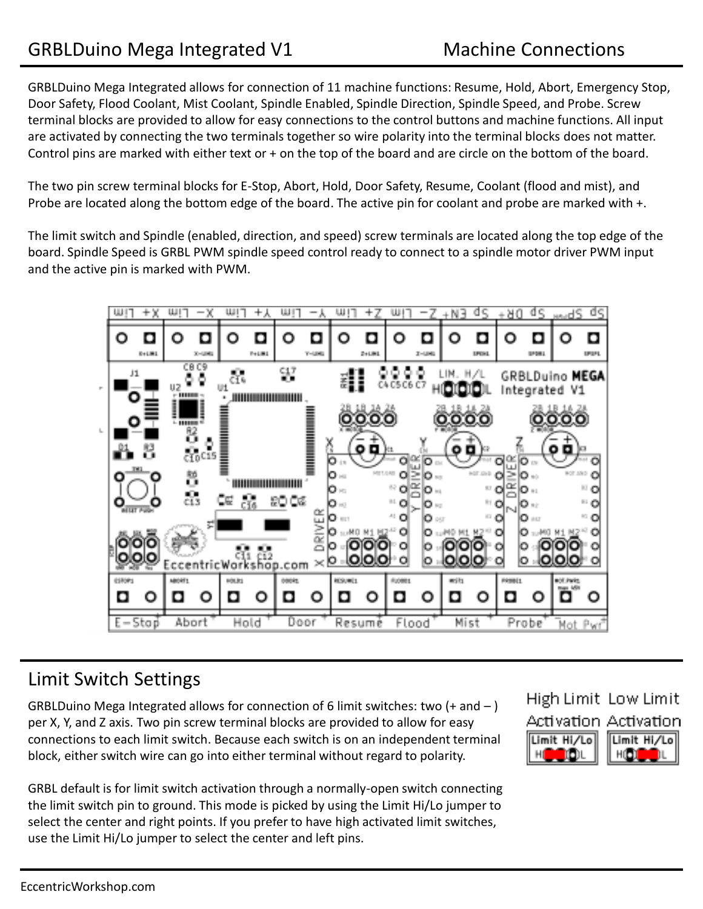GRBLDuino Mega Integrated allows for connection of 11 machine functions: Resume, Hold, Abort, Emergency Stop, Door Safety, Flood Coolant, Mist Coolant, Spindle Enabled, Spindle Direction, Spindle Speed, and Probe. Screw terminal blocks are provided to allow for easy connections to the control buttons and machine functions. All input are activated by connecting the two terminals together so wire polarity into the terminal blocks does not matter. Control pins are marked with either text or + on the top of the board and are circle on the bottom of the board.

The two pin screw terminal blocks for E-Stop, Abort, Hold, Door Safety, Resume, Coolant (flood and mist), and Probe are located along the bottom edge of the board. The active pin for coolant and probe are marked with +.

The limit switch and Spindle (enabled, direction, and speed) screw terminals are located along the top edge of the board. Spindle Speed is GRBL PWM spindle speed control ready to connect to a spindle motor driver PWM input and the active pin is marked with PWM.



#### Limit Switch Settings

GRBLDuino Mega Integrated allows for connection of 6 limit switches: two  $(+)$  and  $-$  ) per X, Y, and Z axis. Two pin screw terminal blocks are provided to allow for easy connections to each limit switch. Because each switch is on an independent terminal block, either switch wire can go into either terminal without regard to polarity.

GRBL default is for limit switch activation through a normally-open switch connecting the limit switch pin to ground. This mode is picked by using the Limit Hi/Lo jumper to select the center and right points. If you prefer to have high activated limit switches, use the Limit Hi/Lo jumper to select the center and left pins.

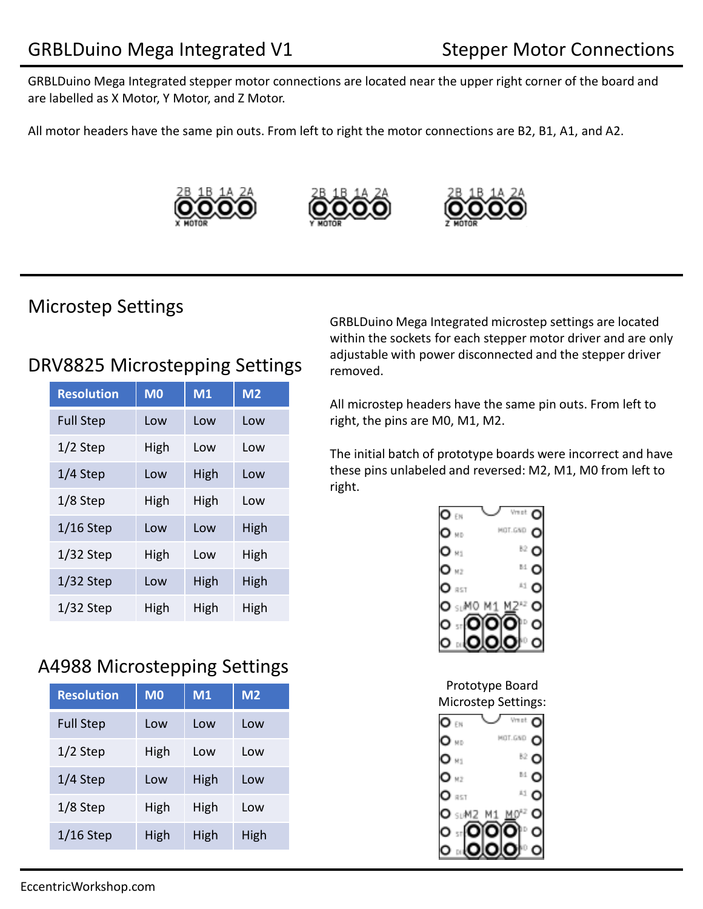GRBLDuino Mega Integrated stepper motor connections are located near the upper right corner of the board and are labelled as X Motor, Y Motor, and Z Motor.

All motor headers have the same pin outs. From left to right the motor connections are B2, B1, A1, and A2.







#### Microstep Settings

#### DRV8825 Microstepping Settings

| <b>Resolution</b> | M <sub>0</sub> | M1   | M <sub>2</sub> |
|-------------------|----------------|------|----------------|
| <b>Full Step</b>  | Low            | Low  | Low            |
| $1/2$ Step        | High           | Low  | Low            |
| 1/4 Step          | Low            | High | Low            |
| 1/8 Step          | High           | High | Low            |
| $1/16$ Step       | Low            | Low  | High           |
| $1/32$ Step       | High           | Low  | High           |
| $1/32$ Step       | Low            | High | High           |
| $1/32$ Step       | High           | High | High           |

# A4988 Microstepping Settings

| <b>Resolution</b> | M <sub>0</sub> | M1   | M <sub>2</sub> |
|-------------------|----------------|------|----------------|
| <b>Full Step</b>  | Low            | Low  | Low            |
| $1/2$ Step        | High           | Low  | Low            |
| $1/4$ Step        | Low            | High | Low            |
| $1/8$ Step        | High           | High | Low            |
| $1/16$ Step       | High           | High | High           |

GRBLDuino Mega Integrated microstep settings are located within the sockets for each stepper motor driver and are only adjustable with power disconnected and the stepper driver removed.

All microstep headers have the same pin outs. From left to right, the pins are M0, M1, M2.

The initial batch of prototype boards were incorrect and have these pins unlabeled and reversed: M2, M1, M0 from left to right.



Prototype Board Microstep Settings: